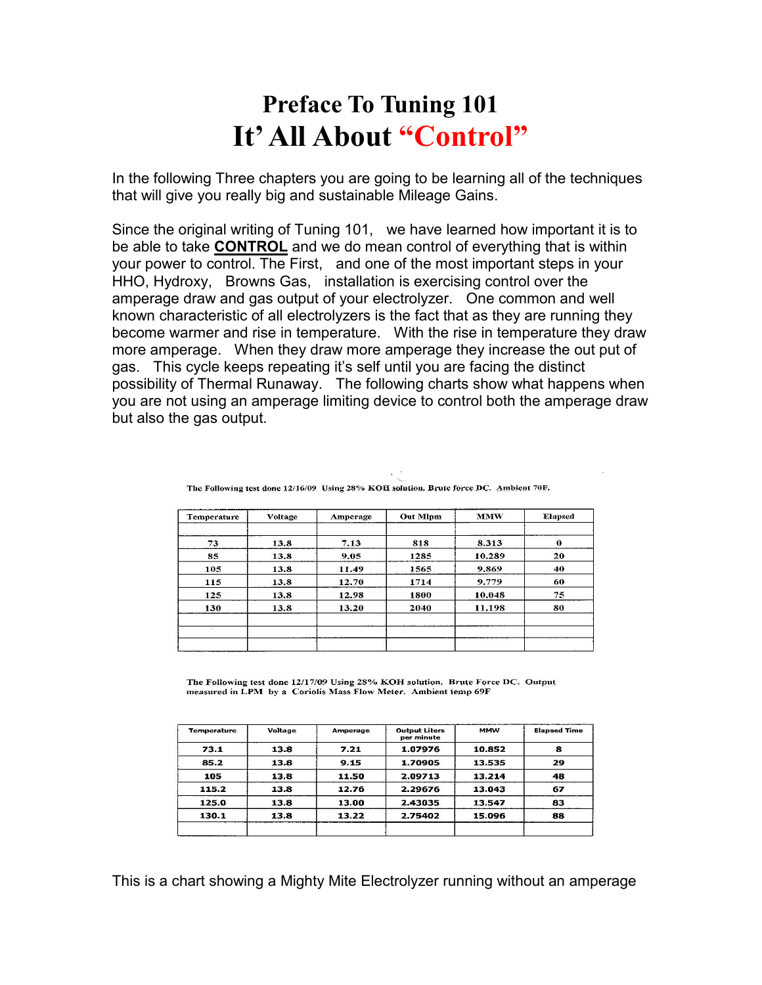## **Preface To Tuning 101 It' All About "Control"**

In the following Three chapters you are going to be learning all of the techniques that will give you really big and sustainable Mileage Gains.

Since the original writing of Tuning 101, we have learned how important it is to be able to take **CONTROL** and we do mean control of everything that is within your power to control. The First, and one of the most important steps in your HHO, Hydroxy, Browns Gas, installation is exercising control over the amperage draw and gas output of your electrolyzer. One common and well known characteristic of all electrolyzers is the fact that as they are running they become warmer and rise in temperature. With the rise in temperature they draw more amperage. When they draw more amperage they increase the out put of gas. This cycle keeps repeating it's self until you are facing the distinct possibility of Thermal Runaway. The following charts show what happens when you are not using an amperage limiting device to control both the amperage draw but also the gas output.

| Temperature | Voltage | Amperage | <b>Out Mlpm</b> | <b>MMW</b> | <b>Elapsed</b> |
|-------------|---------|----------|-----------------|------------|----------------|
| 73          | 13.8    | 7.13     | 818             | 8.313      | 0              |
| 85          | 13.8    | 9.05     | 1285            | 10.289     | 20             |
| 105         | 13.8    | 11.49    | 1565            | 9.869      | 40             |
| 115         | 13.8    | 12.70    | 1714            | 9.779      | 60             |
| 125         | 13.8    | 12.98    | 1800            | 10.048     | 75             |
| 130         | 13.8    | 13.20    | 2040            | 11.198     | 80             |
|             |         |          |                 |            |                |
|             |         |          |                 |            |                |
|             |         |          |                 |            |                |

The Following test done 12/16/09 Using 28% KOH solution. Brute force DC. Ambient 70F.

The Following test done 12/17/09 Using 28% KOH solution. Brute Force DC. Output measured in LPM by a Coriolis Mass Flow Meter. Ambient temp 69F

| <b>Temperature</b> | Voltage | Amperage | <b>Output Liters</b><br>per minute | <b>MMW</b> | <b>Elapsed Time</b> |
|--------------------|---------|----------|------------------------------------|------------|---------------------|
| 73.1               | 13.8    | 7.21     | 1.07976                            | 10.852     | 8                   |
| 85.2               | 13.8    | 9.15     | 1.70905                            | 13.535     | 29                  |
| 105                | 13.8    | 11.50    | 2.09713                            | 13.214     | 48                  |
| 115.2              | 13.8    | 12.76    | 2.29676                            | 13.043     | 67                  |
| 125.0              | 13.8    | 13.00    | 2.43035                            | 13.547     | 83                  |
| 130.1              | 13.8    | 13.22    | 2.75402                            | 15.096     | 88                  |

This is a chart showing a Mighty Mite Electrolyzer running without an amperage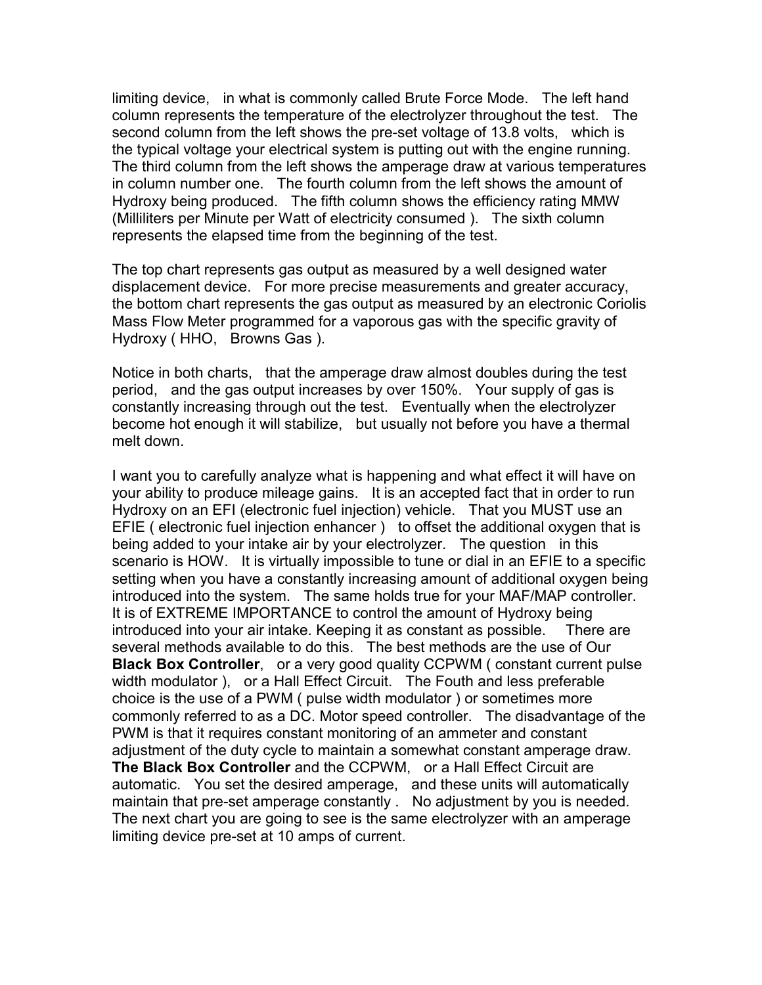limiting device, in what is commonly called Brute Force Mode. The left hand column represents the temperature of the electrolyzer throughout the test. The second column from the left shows the pre-set voltage of 13.8 volts, which is the typical voltage your electrical system is putting out with the engine running. The third column from the left shows the amperage draw at various temperatures in column number one. The fourth column from the left shows the amount of Hydroxy being produced. The fifth column shows the efficiency rating MMW (Milliliters per Minute per Watt of electricity consumed ). The sixth column represents the elapsed time from the beginning of the test.

The top chart represents gas output as measured by a well designed water displacement device. For more precise measurements and greater accuracy, the bottom chart represents the gas output as measured by an electronic Coriolis Mass Flow Meter programmed for a vaporous gas with the specific gravity of Hydroxy ( HHO, Browns Gas ).

Notice in both charts, that the amperage draw almost doubles during the test period, and the gas output increases by over 150%. Your supply of gas is constantly increasing through out the test. Eventually when the electrolyzer become hot enough it will stabilize, but usually not before you have a thermal melt down.

I want you to carefully analyze what is happening and what effect it will have on your ability to produce mileage gains. It is an accepted fact that in order to run Hydroxy on an EFI (electronic fuel injection) vehicle. That you MUST use an EFIE ( electronic fuel injection enhancer ) to offset the additional oxygen that is being added to your intake air by your electrolyzer. The question in this scenario is HOW. It is virtually impossible to tune or dial in an EFIE to a specific setting when you have a constantly increasing amount of additional oxygen being introduced into the system. The same holds true for your MAF/MAP controller. It is of EXTREME IMPORTANCE to control the amount of Hydroxy being introduced into your air intake. Keeping it as constant as possible. There are several methods available to do this. The best methods are the use of Our **Black Box Controller,** or a very good quality CCPWM (constant current pulse) width modulator ), or a Hall Effect Circuit. The Fouth and less preferable choice is the use of a PWM ( pulse width modulator ) or sometimes more commonly referred to as a DC. Motor speed controller. The disadvantage of the PWM is that it requires constant monitoring of an ammeter and constant adjustment of the duty cycle to maintain a somewhat constant amperage draw. **The Black Box Controller** and the CCPWM, or a Hall Effect Circuit are automatic. You set the desired amperage, and these units will automatically maintain that pre-set amperage constantly . No adjustment by you is needed. The next chart you are going to see is the same electrolyzer with an amperage limiting device pre-set at 10 amps of current.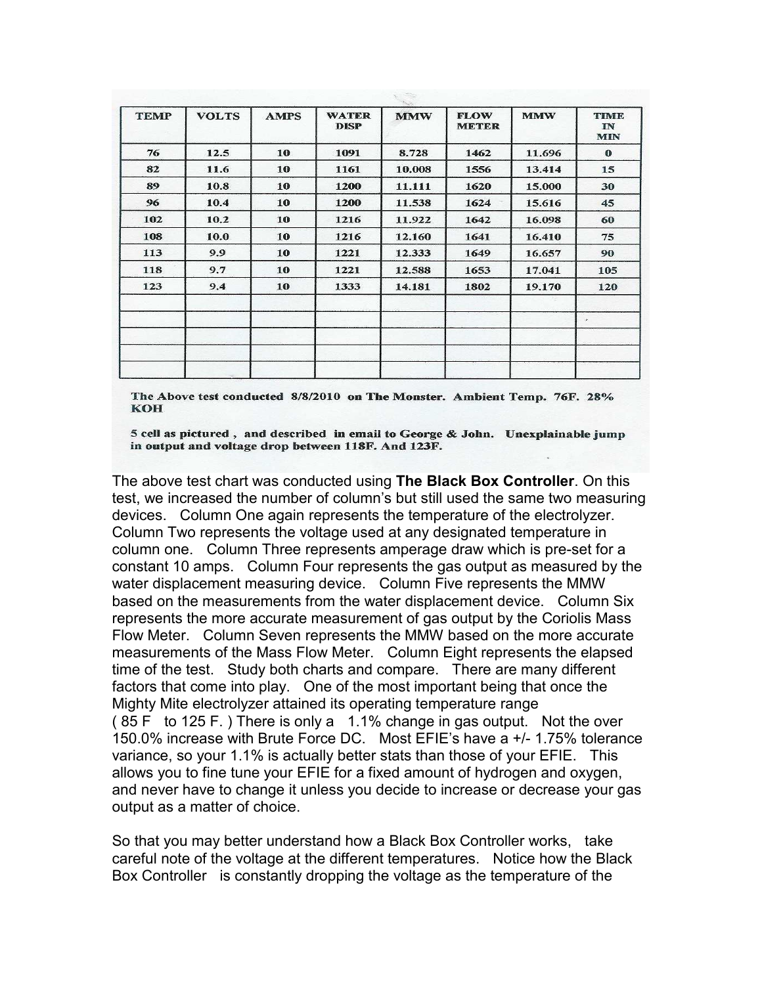| <b>TEMP</b> | <b>VOLTS</b> | <b>AMPS</b> | <b>WATER</b><br><b>DISP</b> | <b>MMW</b> | <b>FLOW</b><br><b>METER</b> | <b>MMW</b> | <b>TIME</b><br>IN<br><b>MIN</b> |
|-------------|--------------|-------------|-----------------------------|------------|-----------------------------|------------|---------------------------------|
| 76          | 12.5         | 10          | 1091                        | 8.728      | 1462                        | 11.696     | $\bf{0}$                        |
| 82          | 11.6         | 10          | 1161                        | 10.008     | 1556                        | 13.414     | 15                              |
| 89          | 10.8         | 10          | 1200                        | 11.111     | 1620                        | 15.000     | 30                              |
| 96          | 10.4         | 10          | 1200                        | 11.538     | 1624                        | 15.616     | 45                              |
| 102         | 10.2         | 10          | 1216                        | 11.922     | 1642                        | 16.098     | 60                              |
| 108         | 10.0         | 10          | 1216                        | 12.160     | 1641                        | 16.410     | 75                              |
| 113         | 9.9          | 10          | 1221                        | 12.333     | 1649                        | 16.657     | 90                              |
| 118         | 9.7          | 10          | 1221                        | 12.588     | 1653                        | 17.041     | 105                             |
| 123         | 9.4          | 10          | 1333                        | 14.181     | 1802                        | 19.170     | 120                             |
|             |              |             |                             |            |                             |            | ×.                              |
|             |              |             |                             |            |                             |            |                                 |

The Above test conducted 8/8/2010 on The Monster. Ambient Temp. 76F. 28% **KOH** 

5 cell as pictured, and described in email to George & John. Unexplainable jump in output and voltage drop between 118F. And 123F.

The above test chart was conducted using **The Black Box Controller**. On this test, we increased the number of column's but still used the same two measuring devices. Column One again represents the temperature of the electrolyzer. Column Two represents the voltage used at any designated temperature in column one. Column Three represents amperage draw which is pre-set for a constant 10 amps. Column Four represents the gas output as measured by the water displacement measuring device. Column Five represents the MMW based on the measurements from the water displacement device. Column Six represents the more accurate measurement of gas output by the Coriolis Mass Flow Meter. Column Seven represents the MMW based on the more accurate measurements of the Mass Flow Meter. Column Eight represents the elapsed time of the test. Study both charts and compare. There are many different factors that come into play. One of the most important being that once the Mighty Mite electrolyzer attained its operating temperature range ( 85 F to 125 F. ) There is only a 1.1% change in gas output. Not the over 150.0% increase with Brute Force DC. Most EFIE's have a +/- 1.75% tolerance variance, so your 1.1% is actually better stats than those of your EFIE. This allows you to fine tune your EFIE for a fixed amount of hydrogen and oxygen, and never have to change it unless you decide to increase or decrease your gas output as a matter of choice.

So that you may better understand how a Black Box Controller works, take careful note of the voltage at the different temperatures. Notice how the Black Box Controller is constantly dropping the voltage as the temperature of the